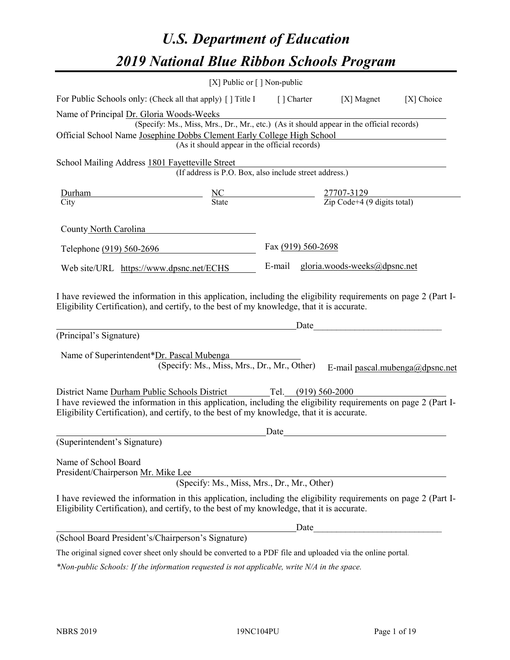# *U.S. Department of Education 2019 National Blue Ribbon Schools Program*

|                                                                                                                                                                                                              | [X] Public or [] Non-public                                                                                                               |                     |                                                         |            |
|--------------------------------------------------------------------------------------------------------------------------------------------------------------------------------------------------------------|-------------------------------------------------------------------------------------------------------------------------------------------|---------------------|---------------------------------------------------------|------------|
| For Public Schools only: (Check all that apply) [ ] Title I                                                                                                                                                  |                                                                                                                                           | [] Charter          | [X] Magnet                                              | [X] Choice |
| Name of Principal Dr. Gloria Woods-Weeks<br>Official School Name Josephine Dobbs Clement Early College High School                                                                                           | (Specify: Ms., Miss, Mrs., Dr., Mr., etc.) (As it should appear in the official records)<br>(As it should appear in the official records) |                     |                                                         |            |
| School Mailing Address 1801 Fayetteville Street                                                                                                                                                              | (If address is P.O. Box, also include street address.)                                                                                    |                     |                                                         |            |
| Durham                                                                                                                                                                                                       | $\frac{NC}{State}$                                                                                                                        |                     | $\frac{27707-3129}{\text{Zip Code}+4 (9 digits total)}$ |            |
| City                                                                                                                                                                                                         |                                                                                                                                           |                     |                                                         |            |
| County North Carolina                                                                                                                                                                                        |                                                                                                                                           |                     |                                                         |            |
| Telephone (919) 560-2696                                                                                                                                                                                     |                                                                                                                                           | Fax (919) 560-2698  |                                                         |            |
| Web site/URL https://www.dpsnc.net/ECHS                                                                                                                                                                      |                                                                                                                                           | E-mail              | gloria.woods-weeks@dpsnc.net                            |            |
| (Principal's Signature)<br>Name of Superintendent*Dr. Pascal Mubenga                                                                                                                                         | (Specify: Ms., Miss, Mrs., Dr., Mr., Other)                                                                                               | Date                | E-mail pascal.mubenga@dpsnc.net                         |            |
| District Name Durham Public Schools District                                                                                                                                                                 |                                                                                                                                           | Tel. (919) 560-2000 |                                                         |            |
| I have reviewed the information in this application, including the eligibility requirements on page 2 (Part I-<br>Eligibility Certification), and certify, to the best of my knowledge, that it is accurate. |                                                                                                                                           |                     |                                                         |            |
|                                                                                                                                                                                                              |                                                                                                                                           | Date                |                                                         |            |
| (Superintendent's Signature)                                                                                                                                                                                 |                                                                                                                                           |                     |                                                         |            |
| Name of School Board<br>President/Chairperson Mr. Mike Lee                                                                                                                                                   | (Specify: Ms., Miss, Mrs., Dr., Mr., Other)                                                                                               |                     |                                                         |            |
| I have reviewed the information in this application, including the eligibility requirements on page 2 (Part I-<br>Eligibility Certification), and certify, to the best of my knowledge, that it is accurate. |                                                                                                                                           |                     |                                                         |            |
|                                                                                                                                                                                                              |                                                                                                                                           |                     |                                                         |            |
| (School Board President's/Chairperson's Signature)                                                                                                                                                           |                                                                                                                                           |                     |                                                         |            |
| The original signed cover sheet only should be converted to a PDF file and uploaded via the online portal.                                                                                                   |                                                                                                                                           |                     |                                                         |            |

*\*Non-public Schools: If the information requested is not applicable, write N/A in the space.*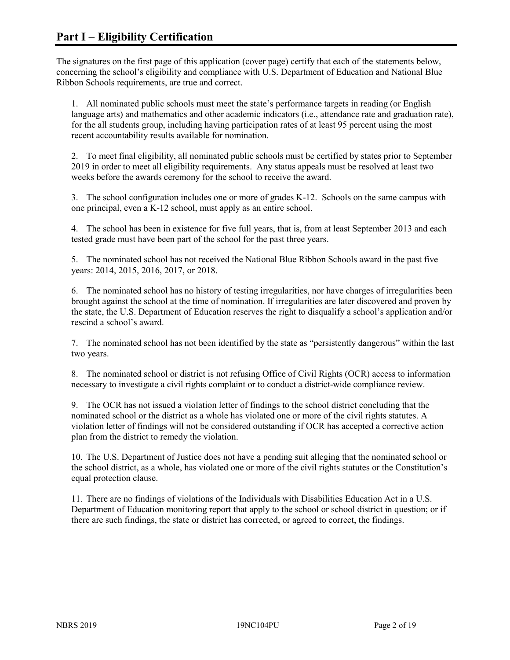The signatures on the first page of this application (cover page) certify that each of the statements below, concerning the school's eligibility and compliance with U.S. Department of Education and National Blue Ribbon Schools requirements, are true and correct.

1. All nominated public schools must meet the state's performance targets in reading (or English language arts) and mathematics and other academic indicators (i.e., attendance rate and graduation rate), for the all students group, including having participation rates of at least 95 percent using the most recent accountability results available for nomination.

2. To meet final eligibility, all nominated public schools must be certified by states prior to September 2019 in order to meet all eligibility requirements. Any status appeals must be resolved at least two weeks before the awards ceremony for the school to receive the award.

3. The school configuration includes one or more of grades K-12. Schools on the same campus with one principal, even a K-12 school, must apply as an entire school.

4. The school has been in existence for five full years, that is, from at least September 2013 and each tested grade must have been part of the school for the past three years.

5. The nominated school has not received the National Blue Ribbon Schools award in the past five years: 2014, 2015, 2016, 2017, or 2018.

6. The nominated school has no history of testing irregularities, nor have charges of irregularities been brought against the school at the time of nomination. If irregularities are later discovered and proven by the state, the U.S. Department of Education reserves the right to disqualify a school's application and/or rescind a school's award.

7. The nominated school has not been identified by the state as "persistently dangerous" within the last two years.

8. The nominated school or district is not refusing Office of Civil Rights (OCR) access to information necessary to investigate a civil rights complaint or to conduct a district-wide compliance review.

9. The OCR has not issued a violation letter of findings to the school district concluding that the nominated school or the district as a whole has violated one or more of the civil rights statutes. A violation letter of findings will not be considered outstanding if OCR has accepted a corrective action plan from the district to remedy the violation.

10. The U.S. Department of Justice does not have a pending suit alleging that the nominated school or the school district, as a whole, has violated one or more of the civil rights statutes or the Constitution's equal protection clause.

11. There are no findings of violations of the Individuals with Disabilities Education Act in a U.S. Department of Education monitoring report that apply to the school or school district in question; or if there are such findings, the state or district has corrected, or agreed to correct, the findings.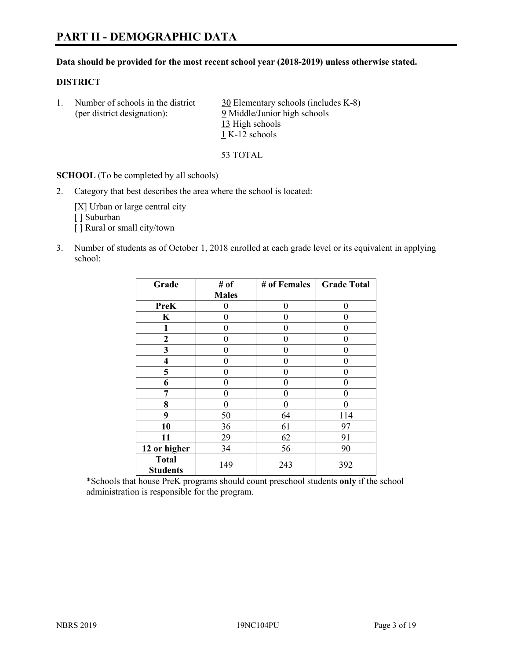# **PART II - DEMOGRAPHIC DATA**

#### **Data should be provided for the most recent school year (2018-2019) unless otherwise stated.**

#### **DISTRICT**

1. Number of schools in the district  $30$  Elementary schools (includes K-8) (per district designation): 9 Middle/Junior high schools 13 High schools 1 K-12 schools

53 TOTAL

**SCHOOL** (To be completed by all schools)

2. Category that best describes the area where the school is located:

[X] Urban or large central city [ ] Suburban [] Rural or small city/town

3. Number of students as of October 1, 2018 enrolled at each grade level or its equivalent in applying school:

| Grade                           | # of         | # of Females | <b>Grade Total</b> |
|---------------------------------|--------------|--------------|--------------------|
|                                 | <b>Males</b> |              |                    |
| <b>PreK</b>                     | 0            | $\theta$     | 0                  |
| $\mathbf K$                     | 0            | $\theta$     | 0                  |
| 1                               | 0            | $\theta$     | 0                  |
| 2                               | 0            | 0            | 0                  |
| 3                               | 0            | 0            | 0                  |
| $\overline{\mathbf{4}}$         | 0            | $\theta$     | 0                  |
| 5                               | 0            | $\theta$     | 0                  |
| 6                               | 0            | $\theta$     | 0                  |
| 7                               | 0            | $\theta$     | 0                  |
| 8                               | 0            | 0            | 0                  |
| 9                               | 50           | 64           | 114                |
| 10                              | 36           | 61           | 97                 |
| 11                              | 29           | 62           | 91                 |
| 12 or higher                    | 34           | 56           | 90                 |
| <b>Total</b><br><b>Students</b> | 149          | 243          | 392                |

\*Schools that house PreK programs should count preschool students **only** if the school administration is responsible for the program.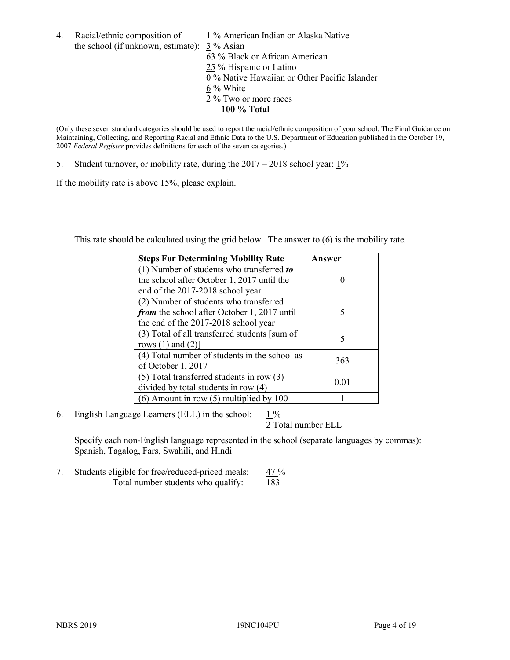- 4. Racial/ethnic composition of  $1\%$  American Indian or Alaska Native the school (if unknown, estimate): 3 % Asian 63 % Black or African American 25 % Hispanic or Latino  $\overline{0\%}$  Native Hawaiian or Other Pacific Islander 6 % White
	- 2 % Two or more races
		- **100 % Total**

(Only these seven standard categories should be used to report the racial/ethnic composition of your school. The Final Guidance on Maintaining, Collecting, and Reporting Racial and Ethnic Data to the U.S. Department of Education published in the October 19, 2007 *Federal Register* provides definitions for each of the seven categories.)

5. Student turnover, or mobility rate, during the 2017 – 2018 school year: 1%

If the mobility rate is above 15%, please explain.

This rate should be calculated using the grid below. The answer to (6) is the mobility rate.

| <b>Steps For Determining Mobility Rate</b>    | Answer |  |
|-----------------------------------------------|--------|--|
| (1) Number of students who transferred to     |        |  |
| the school after October 1, 2017 until the    |        |  |
| end of the 2017-2018 school year              |        |  |
| (2) Number of students who transferred        |        |  |
| from the school after October 1, 2017 until   | 5      |  |
| the end of the 2017-2018 school year          |        |  |
| (3) Total of all transferred students [sum of |        |  |
| rows $(1)$ and $(2)$ ]                        | 5      |  |
| (4) Total number of students in the school as |        |  |
| of October 1, 2017                            | 363    |  |
| $(5)$ Total transferred students in row $(3)$ |        |  |
| divided by total students in row (4)          | 0.01   |  |
| (6) Amount in row (5) multiplied by 100       |        |  |

6. English Language Learners (ELL) in the school:  $1\%$ 

2 Total number ELL

Specify each non-English language represented in the school (separate languages by commas): Spanish, Tagalog, Fars, Swahili, and Hindi

7. Students eligible for free/reduced-priced meals: 47 % Total number students who qualify: 183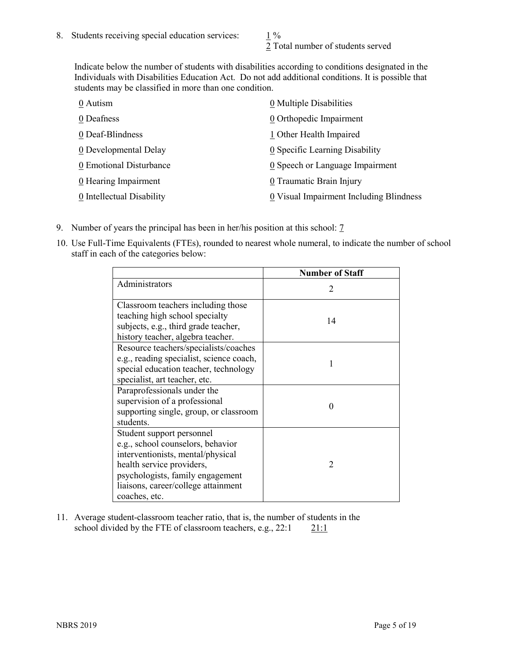2 Total number of students served

Indicate below the number of students with disabilities according to conditions designated in the Individuals with Disabilities Education Act. Do not add additional conditions. It is possible that students may be classified in more than one condition.

| 0 Autism                  | $\underline{0}$ Multiple Disabilities   |
|---------------------------|-----------------------------------------|
| 0 Deafness                | 0 Orthopedic Impairment                 |
| 0 Deaf-Blindness          | 1 Other Health Impaired                 |
| 0 Developmental Delay     | 0 Specific Learning Disability          |
| 0 Emotional Disturbance   | 0 Speech or Language Impairment         |
| 0 Hearing Impairment      | 0 Traumatic Brain Injury                |
| 0 Intellectual Disability | 0 Visual Impairment Including Blindness |

- 9. Number of years the principal has been in her/his position at this school: 7
- 10. Use Full-Time Equivalents (FTEs), rounded to nearest whole numeral, to indicate the number of school staff in each of the categories below:

|                                                                                                                                                                                                                              | <b>Number of Staff</b>      |
|------------------------------------------------------------------------------------------------------------------------------------------------------------------------------------------------------------------------------|-----------------------------|
| Administrators                                                                                                                                                                                                               | $\mathcal{D}_{\mathcal{A}}$ |
| Classroom teachers including those<br>teaching high school specialty<br>subjects, e.g., third grade teacher,<br>history teacher, algebra teacher.                                                                            | 14                          |
| Resource teachers/specialists/coaches<br>e.g., reading specialist, science coach,<br>special education teacher, technology<br>specialist, art teacher, etc.                                                                  |                             |
| Paraprofessionals under the<br>supervision of a professional<br>supporting single, group, or classroom<br>students.                                                                                                          | $\mathbf{\Omega}$           |
| Student support personnel<br>e.g., school counselors, behavior<br>interventionists, mental/physical<br>health service providers,<br>psychologists, family engagement<br>liaisons, career/college attainment<br>coaches, etc. | $\mathcal{D}$               |

11. Average student-classroom teacher ratio, that is, the number of students in the school divided by the FTE of classroom teachers, e.g.,  $22:1$  21:1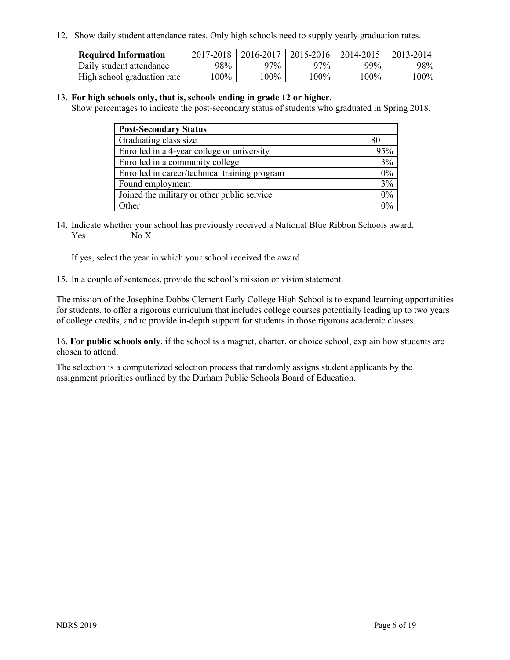12. Show daily student attendance rates. Only high schools need to supply yearly graduation rates.

| <b>Required Information</b> | 2017-2018 | 2016-2017 | 2015-2016 | 2014-2015 | 2013-2014         |
|-----------------------------|-----------|-----------|-----------|-----------|-------------------|
| Daily student attendance    | 98%       | 97%       | 97%       | $99\%$    | 98%               |
| High school graduation rate | $00\%$    | $00\%$    | $00\%$    | l 00%     | $^{\prime}\,00\%$ |

## 13. **For high schools only, that is, schools ending in grade 12 or higher.**

Show percentages to indicate the post-secondary status of students who graduated in Spring 2018.

| <b>Post-Secondary Status</b>                  |          |
|-----------------------------------------------|----------|
| Graduating class size                         | 80       |
| Enrolled in a 4-year college or university    | 95%      |
| Enrolled in a community college               | 3%       |
| Enrolled in career/technical training program | $0\%$    |
| Found employment                              | 3%       |
| Joined the military or other public service   | 0%       |
| Other                                         | $\Omega$ |

14. Indicate whether your school has previously received a National Blue Ribbon Schools award. Yes No X

If yes, select the year in which your school received the award.

15. In a couple of sentences, provide the school's mission or vision statement.

The mission of the Josephine Dobbs Clement Early College High School is to expand learning opportunities for students, to offer a rigorous curriculum that includes college courses potentially leading up to two years of college credits, and to provide in-depth support for students in those rigorous academic classes.

16. **For public schools only**, if the school is a magnet, charter, or choice school, explain how students are chosen to attend.

The selection is a computerized selection process that randomly assigns student applicants by the assignment priorities outlined by the Durham Public Schools Board of Education.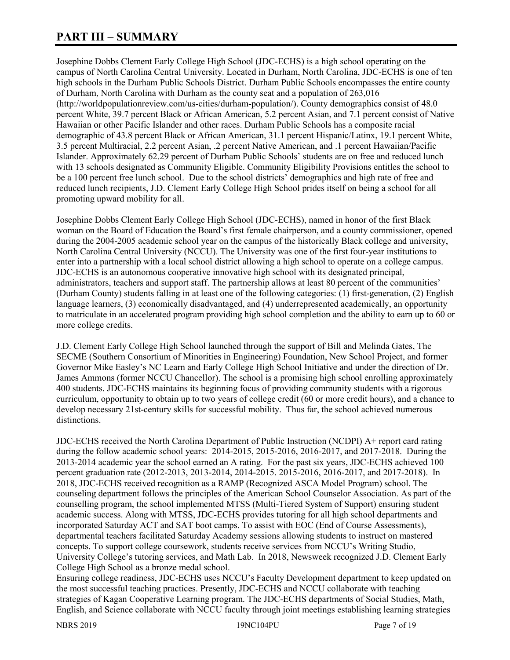# **PART III – SUMMARY**

Josephine Dobbs Clement Early College High School (JDC-ECHS) is a high school operating on the campus of North Carolina Central University. Located in Durham, North Carolina, JDC-ECHS is one of ten high schools in the Durham Public Schools District. Durham Public Schools encompasses the entire county of Durham, North Carolina with Durham as the county seat and a population of 263,016 (http://worldpopulationreview.com/us-cities/durham-population/). County demographics consist of 48.0 percent White, 39.7 percent Black or African American, 5.2 percent Asian, and 7.1 percent consist of Native Hawaiian or other Pacific Islander and other races. Durham Public Schools has a composite racial demographic of 43.8 percent Black or African American, 31.1 percent Hispanic/Latinx, 19.1 percent White, 3.5 percent Multiracial, 2.2 percent Asian, .2 percent Native American, and .1 percent Hawaiian/Pacific Islander. Approximately 62.29 percent of Durham Public Schools' students are on free and reduced lunch with 13 schools designated as Community Eligible. Community Eligibility Provisions entitles the school to be a 100 percent free lunch school. Due to the school districts' demographics and high rate of free and reduced lunch recipients, J.D. Clement Early College High School prides itself on being a school for all promoting upward mobility for all.

Josephine Dobbs Clement Early College High School (JDC-ECHS), named in honor of the first Black woman on the Board of Education the Board's first female chairperson, and a county commissioner, opened during the 2004-2005 academic school year on the campus of the historically Black college and university, North Carolina Central University (NCCU). The University was one of the first four-year institutions to enter into a partnership with a local school district allowing a high school to operate on a college campus. JDC-ECHS is an autonomous cooperative innovative high school with its designated principal, administrators, teachers and support staff. The partnership allows at least 80 percent of the communities' (Durham County) students falling in at least one of the following categories: (1) first-generation, (2) English language learners, (3) economically disadvantaged, and (4) underrepresented academically, an opportunity to matriculate in an accelerated program providing high school completion and the ability to earn up to 60 or more college credits.

J.D. Clement Early College High School launched through the support of Bill and Melinda Gates, The SECME (Southern Consortium of Minorities in Engineering) Foundation, New School Project, and former Governor Mike Easley's NC Learn and Early College High School Initiative and under the direction of Dr. James Ammons (former NCCU Chancellor). The school is a promising high school enrolling approximately 400 students. JDC-ECHS maintains its beginning focus of providing community students with a rigorous curriculum, opportunity to obtain up to two years of college credit (60 or more credit hours), and a chance to develop necessary 21st-century skills for successful mobility. Thus far, the school achieved numerous distinctions.

JDC-ECHS received the North Carolina Department of Public Instruction (NCDPI) A+ report card rating during the follow academic school years: 2014-2015, 2015-2016, 2016-2017, and 2017-2018. During the 2013-2014 academic year the school earned an A rating. For the past six years, JDC-ECHS achieved 100 percent graduation rate (2012-2013, 2013-2014, 2014-2015. 2015-2016, 2016-2017, and 2017-2018). In 2018, JDC-ECHS received recognition as a RAMP (Recognized ASCA Model Program) school. The counseling department follows the principles of the American School Counselor Association. As part of the counselling program, the school implemented MTSS (Multi-Tiered System of Support) ensuring student academic success. Along with MTSS, JDC-ECHS provides tutoring for all high school departments and incorporated Saturday ACT and SAT boot camps. To assist with EOC (End of Course Assessments), departmental teachers facilitated Saturday Academy sessions allowing students to instruct on mastered concepts. To support college coursework, students receive services from NCCU's Writing Studio, University College's tutoring services, and Math Lab. In 2018, Newsweek recognized J.D. Clement Early College High School as a bronze medal school.

Ensuring college readiness, JDC-ECHS uses NCCU's Faculty Development department to keep updated on the most successful teaching practices. Presently, JDC-ECHS and NCCU collaborate with teaching strategies of Kagan Cooperative Learning program. The JDC-ECHS departments of Social Studies, Math, English, and Science collaborate with NCCU faculty through joint meetings establishing learning strategies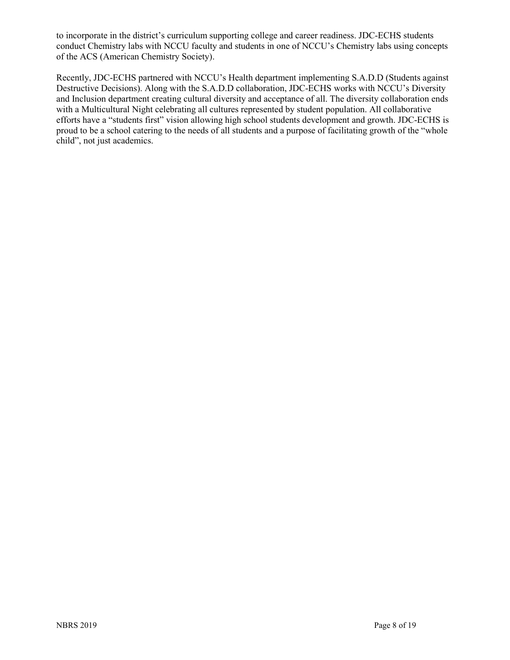to incorporate in the district's curriculum supporting college and career readiness. JDC-ECHS students conduct Chemistry labs with NCCU faculty and students in one of NCCU's Chemistry labs using concepts of the ACS (American Chemistry Society).

Recently, JDC-ECHS partnered with NCCU's Health department implementing S.A.D.D (Students against Destructive Decisions). Along with the S.A.D.D collaboration, JDC-ECHS works with NCCU's Diversity and Inclusion department creating cultural diversity and acceptance of all. The diversity collaboration ends with a Multicultural Night celebrating all cultures represented by student population. All collaborative efforts have a "students first" vision allowing high school students development and growth. JDC-ECHS is proud to be a school catering to the needs of all students and a purpose of facilitating growth of the "whole child", not just academics.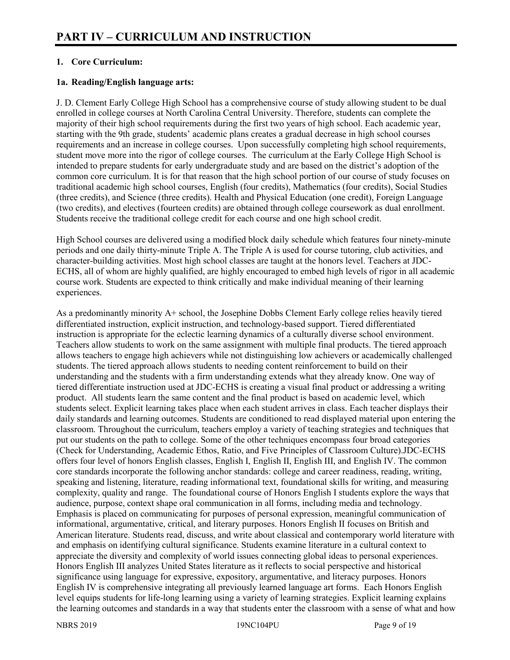# **1. Core Curriculum:**

#### **1a. Reading/English language arts:**

J. D. Clement Early College High School has a comprehensive course of study allowing student to be dual enrolled in college courses at North Carolina Central University. Therefore, students can complete the majority of their high school requirements during the first two years of high school. Each academic year, starting with the 9th grade, students' academic plans creates a gradual decrease in high school courses requirements and an increase in college courses. Upon successfully completing high school requirements, student move more into the rigor of college courses. The curriculum at the Early College High School is intended to prepare students for early undergraduate study and are based on the district's adoption of the common core curriculum. It is for that reason that the high school portion of our course of study focuses on traditional academic high school courses, English (four credits), Mathematics (four credits), Social Studies (three credits), and Science (three credits). Health and Physical Education (one credit), Foreign Language (two credits), and electives (fourteen credits) are obtained through college coursework as dual enrollment. Students receive the traditional college credit for each course and one high school credit.

High School courses are delivered using a modified block daily schedule which features four ninety-minute periods and one daily thirty-minute Triple A. The Triple A is used for course tutoring, club activities, and character-building activities. Most high school classes are taught at the honors level. Teachers at JDC-ECHS, all of whom are highly qualified, are highly encouraged to embed high levels of rigor in all academic course work. Students are expected to think critically and make individual meaning of their learning experiences.

As a predominantly minority A+ school, the Josephine Dobbs Clement Early college relies heavily tiered differentiated instruction, explicit instruction, and technology-based support. Tiered differentiated instruction is appropriate for the eclectic learning dynamics of a culturally diverse school environment. Teachers allow students to work on the same assignment with multiple final products. The tiered approach allows teachers to engage high achievers while not distinguishing low achievers or academically challenged students. The tiered approach allows students to needing content reinforcement to build on their understanding and the students with a firm understanding extends what they already know. One way of tiered differentiate instruction used at JDC-ECHS is creating a visual final product or addressing a writing product. All students learn the same content and the final product is based on academic level, which students select. Explicit learning takes place when each student arrives in class. Each teacher displays their daily standards and learning outcomes. Students are conditioned to read displayed material upon entering the classroom. Throughout the curriculum, teachers employ a variety of teaching strategies and techniques that put our students on the path to college. Some of the other techniques encompass four broad categories (Check for Understanding, Academic Ethos, Ratio, and Five Principles of Classroom Culture).JDC-ECHS offers four level of honors English classes, English I, English II, English III, and English IV. The common core standards incorporate the following anchor standards: college and career readiness, reading, writing, speaking and listening, literature, reading informational text, foundational skills for writing, and measuring complexity, quality and range. The foundational course of Honors English I students explore the ways that audience, purpose, context shape oral communication in all forms, including media and technology. Emphasis is placed on communicating for purposes of personal expression, meaningful communication of informational, argumentative, critical, and literary purposes. Honors English II focuses on British and American literature. Students read, discuss, and write about classical and contemporary world literature with and emphasis on identifying cultural significance. Students examine literature in a cultural context to appreciate the diversity and complexity of world issues connecting global ideas to personal experiences. Honors English III analyzes United States literature as it reflects to social perspective and historical significance using language for expressive, expository, argumentative, and literacy purposes. Honors English IV is comprehensive integrating all previously learned language art forms. Each Honors English level equips students for life-long learning using a variety of learning strategies. Explicit learning explains the learning outcomes and standards in a way that students enter the classroom with a sense of what and how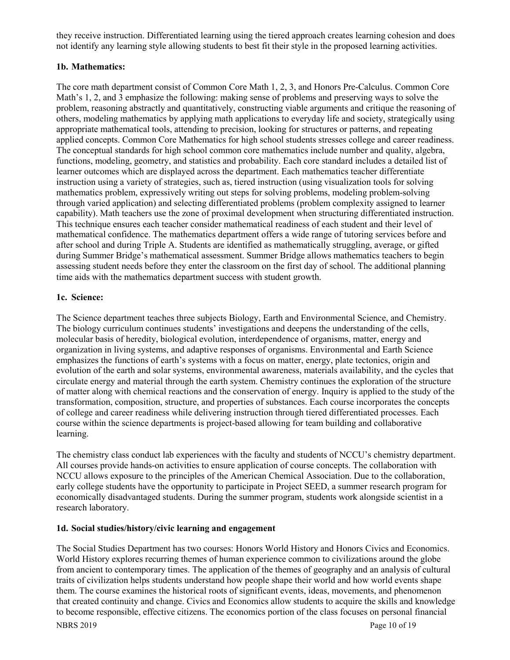they receive instruction. Differentiated learning using the tiered approach creates learning cohesion and does not identify any learning style allowing students to best fit their style in the proposed learning activities.

## **1b. Mathematics:**

The core math department consist of Common Core Math 1, 2, 3, and Honors Pre-Calculus. Common Core Math's 1, 2, and 3 emphasize the following: making sense of problems and preserving ways to solve the problem, reasoning abstractly and quantitatively, constructing viable arguments and critique the reasoning of others, modeling mathematics by applying math applications to everyday life and society, strategically using appropriate mathematical tools, attending to precision, looking for structures or patterns, and repeating applied concepts. Common Core Mathematics for high school students stresses college and career readiness. The conceptual standards for high school common core mathematics include number and quality, algebra, functions, modeling, geometry, and statistics and probability. Each core standard includes a detailed list of learner outcomes which are displayed across the department. Each mathematics teacher differentiate instruction using a variety of strategies, such as, tiered instruction (using visualization tools for solving mathematics problem, expressively writing out steps for solving problems, modeling problem-solving through varied application) and selecting differentiated problems (problem complexity assigned to learner capability). Math teachers use the zone of proximal development when structuring differentiated instruction. This technique ensures each teacher consider mathematical readiness of each student and their level of mathematical confidence. The mathematics department offers a wide range of tutoring services before and after school and during Triple A. Students are identified as mathematically struggling, average, or gifted during Summer Bridge's mathematical assessment. Summer Bridge allows mathematics teachers to begin assessing student needs before they enter the classroom on the first day of school. The additional planning time aids with the mathematics department success with student growth.

#### **1c. Science:**

The Science department teaches three subjects Biology, Earth and Environmental Science, and Chemistry. The biology curriculum continues students' investigations and deepens the understanding of the cells, molecular basis of heredity, biological evolution, interdependence of organisms, matter, energy and organization in living systems, and adaptive responses of organisms. Environmental and Earth Science emphasizes the functions of earth's systems with a focus on matter, energy, plate tectonics, origin and evolution of the earth and solar systems, environmental awareness, materials availability, and the cycles that circulate energy and material through the earth system. Chemistry continues the exploration of the structure of matter along with chemical reactions and the conservation of energy. Inquiry is applied to the study of the transformation, composition, structure, and properties of substances. Each course incorporates the concepts of college and career readiness while delivering instruction through tiered differentiated processes. Each course within the science departments is project-based allowing for team building and collaborative learning.

The chemistry class conduct lab experiences with the faculty and students of NCCU's chemistry department. All courses provide hands-on activities to ensure application of course concepts. The collaboration with NCCU allows exposure to the principles of the American Chemical Association. Due to the collaboration, early college students have the opportunity to participate in Project SEED, a summer research program for economically disadvantaged students. During the summer program, students work alongside scientist in a research laboratory.

#### **1d. Social studies/history/civic learning and engagement**

The Social Studies Department has two courses: Honors World History and Honors Civics and Economics. World History explores recurring themes of human experience common to civilizations around the globe from ancient to contemporary times. The application of the themes of geography and an analysis of cultural traits of civilization helps students understand how people shape their world and how world events shape them. The course examines the historical roots of significant events, ideas, movements, and phenomenon that created continuity and change. Civics and Economics allow students to acquire the skills and knowledge to become responsible, effective citizens. The economics portion of the class focuses on personal financial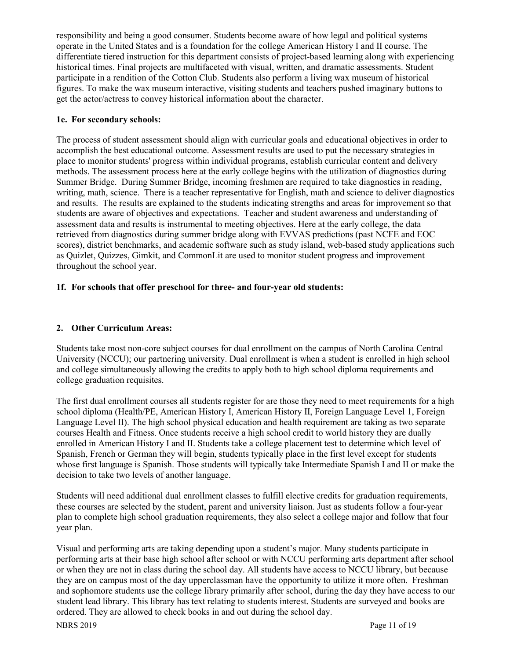responsibility and being a good consumer. Students become aware of how legal and political systems operate in the United States and is a foundation for the college American History I and II course. The differentiate tiered instruction for this department consists of project-based learning along with experiencing historical times. Final projects are multifaceted with visual, written, and dramatic assessments. Student participate in a rendition of the Cotton Club. Students also perform a living wax museum of historical figures. To make the wax museum interactive, visiting students and teachers pushed imaginary buttons to get the actor/actress to convey historical information about the character.

#### **1e. For secondary schools:**

The process of student assessment should align with curricular goals and educational objectives in order to accomplish the best educational outcome. Assessment results are used to put the necessary strategies in place to monitor students' progress within individual programs, establish curricular content and delivery methods. The assessment process here at the early college begins with the utilization of diagnostics during Summer Bridge. During Summer Bridge, incoming freshmen are required to take diagnostics in reading, writing, math, science. There is a teacher representative for English, math and science to deliver diagnostics and results. The results are explained to the students indicating strengths and areas for improvement so that students are aware of objectives and expectations. Teacher and student awareness and understanding of assessment data and results is instrumental to meeting objectives. Here at the early college, the data retrieved from diagnostics during summer bridge along with EVVAS predictions (past NCFE and EOC scores), district benchmarks, and academic software such as study island, web-based study applications such as Quizlet, Quizzes, Gimkit, and CommonLit are used to monitor student progress and improvement throughout the school year.

# **1f. For schools that offer preschool for three- and four-year old students:**

# **2. Other Curriculum Areas:**

Students take most non-core subject courses for dual enrollment on the campus of North Carolina Central University (NCCU); our partnering university. Dual enrollment is when a student is enrolled in high school and college simultaneously allowing the credits to apply both to high school diploma requirements and college graduation requisites.

The first dual enrollment courses all students register for are those they need to meet requirements for a high school diploma (Health/PE, American History I, American History II, Foreign Language Level 1, Foreign Language Level II). The high school physical education and health requirement are taking as two separate courses Health and Fitness. Once students receive a high school credit to world history they are dually enrolled in American History I and II. Students take a college placement test to determine which level of Spanish, French or German they will begin, students typically place in the first level except for students whose first language is Spanish. Those students will typically take Intermediate Spanish I and II or make the decision to take two levels of another language.

Students will need additional dual enrollment classes to fulfill elective credits for graduation requirements, these courses are selected by the student, parent and university liaison. Just as students follow a four-year plan to complete high school graduation requirements, they also select a college major and follow that four year plan.

Visual and performing arts are taking depending upon a student's major. Many students participate in performing arts at their base high school after school or with NCCU performing arts department after school or when they are not in class during the school day. All students have access to NCCU library, but because they are on campus most of the day upperclassman have the opportunity to utilize it more often. Freshman and sophomore students use the college library primarily after school, during the day they have access to our student lead library. This library has text relating to students interest. Students are surveyed and books are ordered. They are allowed to check books in and out during the school day.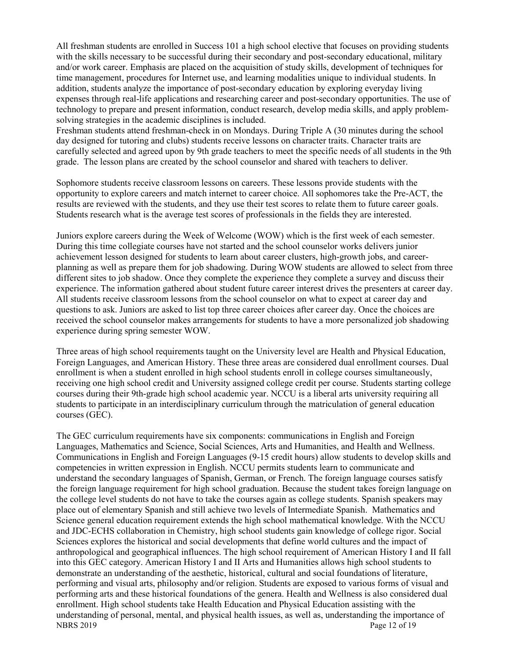All freshman students are enrolled in Success 101 a high school elective that focuses on providing students with the skills necessary to be successful during their secondary and post-secondary educational, military and/or work career. Emphasis are placed on the acquisition of study skills, development of techniques for time management, procedures for Internet use, and learning modalities unique to individual students. In addition, students analyze the importance of post-secondary education by exploring everyday living expenses through real-life applications and researching career and post-secondary opportunities. The use of technology to prepare and present information, conduct research, develop media skills, and apply problemsolving strategies in the academic disciplines is included.

Freshman students attend freshman-check in on Mondays. During Triple A (30 minutes during the school day designed for tutoring and clubs) students receive lessons on character traits. Character traits are carefully selected and agreed upon by 9th grade teachers to meet the specific needs of all students in the 9th grade. The lesson plans are created by the school counselor and shared with teachers to deliver.

Sophomore students receive classroom lessons on careers. These lessons provide students with the opportunity to explore careers and match internet to career choice. All sophomores take the Pre-ACT, the results are reviewed with the students, and they use their test scores to relate them to future career goals. Students research what is the average test scores of professionals in the fields they are interested.

Juniors explore careers during the Week of Welcome (WOW) which is the first week of each semester. During this time collegiate courses have not started and the school counselor works delivers junior achievement lesson designed for students to learn about career clusters, high-growth jobs, and careerplanning as well as prepare them for job shadowing. During WOW students are allowed to select from three different sites to job shadow. Once they complete the experience they complete a survey and discuss their experience. The information gathered about student future career interest drives the presenters at career day. All students receive classroom lessons from the school counselor on what to expect at career day and questions to ask. Juniors are asked to list top three career choices after career day. Once the choices are received the school counselor makes arrangements for students to have a more personalized job shadowing experience during spring semester WOW.

Three areas of high school requirements taught on the University level are Health and Physical Education, Foreign Languages, and American History. These three areas are considered dual enrollment courses. Dual enrollment is when a student enrolled in high school students enroll in college courses simultaneously, receiving one high school credit and University assigned college credit per course. Students starting college courses during their 9th-grade high school academic year. NCCU is a liberal arts university requiring all students to participate in an interdisciplinary curriculum through the matriculation of general education courses (GEC).

NBRS 2019 Page 12 of 19 The GEC curriculum requirements have six components: communications in English and Foreign Languages, Mathematics and Science, Social Sciences, Arts and Humanities, and Health and Wellness. Communications in English and Foreign Languages (9-15 credit hours) allow students to develop skills and competencies in written expression in English. NCCU permits students learn to communicate and understand the secondary languages of Spanish, German, or French. The foreign language courses satisfy the foreign language requirement for high school graduation. Because the student takes foreign language on the college level students do not have to take the courses again as college students. Spanish speakers may place out of elementary Spanish and still achieve two levels of Intermediate Spanish. Mathematics and Science general education requirement extends the high school mathematical knowledge. With the NCCU and JDC-ECHS collaboration in Chemistry, high school students gain knowledge of college rigor. Social Sciences explores the historical and social developments that define world cultures and the impact of anthropological and geographical influences. The high school requirement of American History I and II fall into this GEC category. American History I and II Arts and Humanities allows high school students to demonstrate an understanding of the aesthetic, historical, cultural and social foundations of literature, performing and visual arts, philosophy and/or religion. Students are exposed to various forms of visual and performing arts and these historical foundations of the genera. Health and Wellness is also considered dual enrollment. High school students take Health Education and Physical Education assisting with the understanding of personal, mental, and physical health issues, as well as, understanding the importance of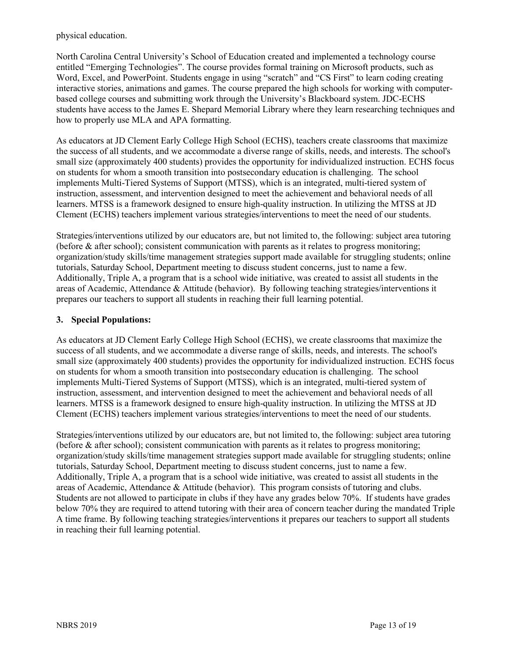physical education.

North Carolina Central University's School of Education created and implemented a technology course entitled "Emerging Technologies". The course provides formal training on Microsoft products, such as Word, Excel, and PowerPoint. Students engage in using "scratch" and "CS First" to learn coding creating interactive stories, animations and games. The course prepared the high schools for working with computerbased college courses and submitting work through the University's Blackboard system. JDC-ECHS students have access to the James E. Shepard Memorial Library where they learn researching techniques and how to properly use MLA and APA formatting.

As educators at JD Clement Early College High School (ECHS), teachers create classrooms that maximize the success of all students, and we accommodate a diverse range of skills, needs, and interests. The school's small size (approximately 400 students) provides the opportunity for individualized instruction. ECHS focus on students for whom a smooth transition into postsecondary education is challenging. The school implements Multi-Tiered Systems of Support (MTSS), which is an integrated, multi-tiered system of instruction, assessment, and intervention designed to meet the achievement and behavioral needs of all learners. MTSS is a framework designed to ensure high-quality instruction. In utilizing the MTSS at JD Clement (ECHS) teachers implement various strategies/interventions to meet the need of our students.

Strategies/interventions utilized by our educators are, but not limited to, the following: subject area tutoring (before & after school); consistent communication with parents as it relates to progress monitoring; organization/study skills/time management strategies support made available for struggling students; online tutorials, Saturday School, Department meeting to discuss student concerns, just to name a few. Additionally, Triple A, a program that is a school wide initiative, was created to assist all students in the areas of Academic, Attendance & Attitude (behavior). By following teaching strategies/interventions it prepares our teachers to support all students in reaching their full learning potential.

#### **3. Special Populations:**

As educators at JD Clement Early College High School (ECHS), we create classrooms that maximize the success of all students, and we accommodate a diverse range of skills, needs, and interests. The school's small size (approximately 400 students) provides the opportunity for individualized instruction. ECHS focus on students for whom a smooth transition into postsecondary education is challenging. The school implements Multi-Tiered Systems of Support (MTSS), which is an integrated, multi-tiered system of instruction, assessment, and intervention designed to meet the achievement and behavioral needs of all learners. MTSS is a framework designed to ensure high-quality instruction. In utilizing the MTSS at JD Clement (ECHS) teachers implement various strategies/interventions to meet the need of our students.

Strategies/interventions utilized by our educators are, but not limited to, the following: subject area tutoring (before & after school); consistent communication with parents as it relates to progress monitoring; organization/study skills/time management strategies support made available for struggling students; online tutorials, Saturday School, Department meeting to discuss student concerns, just to name a few. Additionally, Triple A, a program that is a school wide initiative, was created to assist all students in the areas of Academic, Attendance & Attitude (behavior). This program consists of tutoring and clubs. Students are not allowed to participate in clubs if they have any grades below 70%. If students have grades below 70% they are required to attend tutoring with their area of concern teacher during the mandated Triple A time frame. By following teaching strategies/interventions it prepares our teachers to support all students in reaching their full learning potential.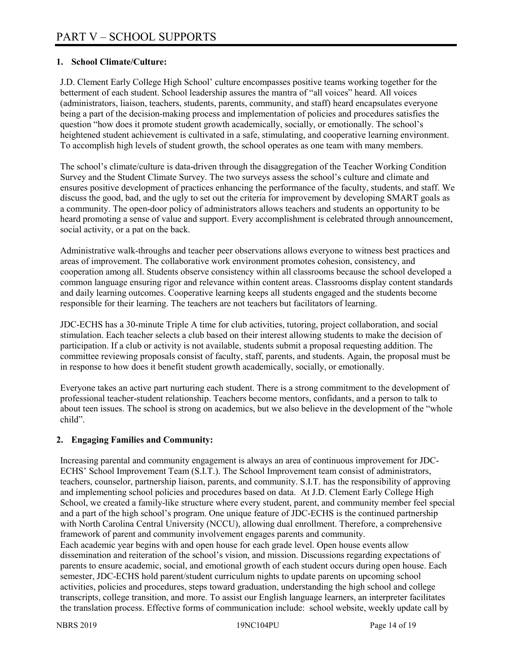## **1. School Climate/Culture:**

J.D. Clement Early College High School' culture encompasses positive teams working together for the betterment of each student. School leadership assures the mantra of "all voices" heard. All voices (administrators, liaison, teachers, students, parents, community, and staff) heard encapsulates everyone being a part of the decision-making process and implementation of policies and procedures satisfies the question "how does it promote student growth academically, socially, or emotionally. The school's heightened student achievement is cultivated in a safe, stimulating, and cooperative learning environment. To accomplish high levels of student growth, the school operates as one team with many members.

The school's climate/culture is data-driven through the disaggregation of the Teacher Working Condition Survey and the Student Climate Survey. The two surveys assess the school's culture and climate and ensures positive development of practices enhancing the performance of the faculty, students, and staff. We discuss the good, bad, and the ugly to set out the criteria for improvement by developing SMART goals as a community. The open-door policy of administrators allows teachers and students an opportunity to be heard promoting a sense of value and support. Every accomplishment is celebrated through announcement, social activity, or a pat on the back.

Administrative walk-throughs and teacher peer observations allows everyone to witness best practices and areas of improvement. The collaborative work environment promotes cohesion, consistency, and cooperation among all. Students observe consistency within all classrooms because the school developed a common language ensuring rigor and relevance within content areas. Classrooms display content standards and daily learning outcomes. Cooperative learning keeps all students engaged and the students become responsible for their learning. The teachers are not teachers but facilitators of learning.

JDC-ECHS has a 30-minute Triple A time for club activities, tutoring, project collaboration, and social stimulation. Each teacher selects a club based on their interest allowing students to make the decision of participation. If a club or activity is not available, students submit a proposal requesting addition. The committee reviewing proposals consist of faculty, staff, parents, and students. Again, the proposal must be in response to how does it benefit student growth academically, socially, or emotionally.

Everyone takes an active part nurturing each student. There is a strong commitment to the development of professional teacher-student relationship. Teachers become mentors, confidants, and a person to talk to about teen issues. The school is strong on academics, but we also believe in the development of the "whole child".

# **2. Engaging Families and Community:**

Increasing parental and community engagement is always an area of continuous improvement for JDC-ECHS' School Improvement Team (S.I.T.). The School Improvement team consist of administrators, teachers, counselor, partnership liaison, parents, and community. S.I.T. has the responsibility of approving and implementing school policies and procedures based on data. At J.D. Clement Early College High School, we created a family-like structure where every student, parent, and community member feel special and a part of the high school's program. One unique feature of JDC-ECHS is the continued partnership with North Carolina Central University (NCCU), allowing dual enrollment. Therefore, a comprehensive framework of parent and community involvement engages parents and community. Each academic year begins with and open house for each grade level. Open house events allow dissemination and reiteration of the school's vision, and mission. Discussions regarding expectations of parents to ensure academic, social, and emotional growth of each student occurs during open house. Each semester, JDC-ECHS hold parent/student curriculum nights to update parents on upcoming school activities, policies and procedures, steps toward graduation, understanding the high school and college transcripts, college transition, and more. To assist our English language learners, an interpreter facilitates the translation process. Effective forms of communication include: school website, weekly update call by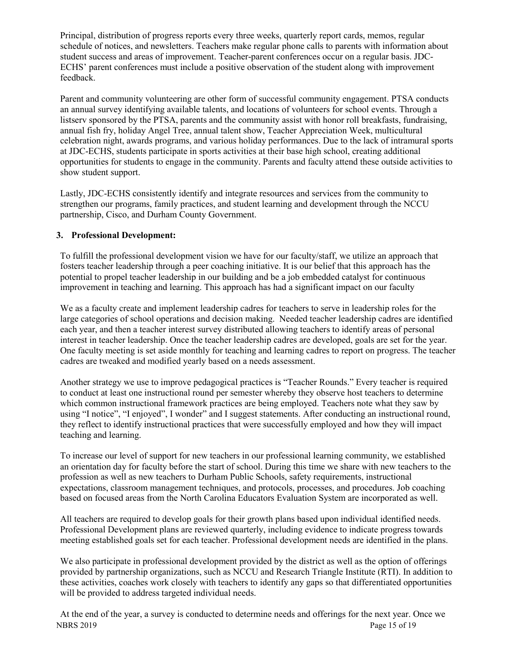Principal, distribution of progress reports every three weeks, quarterly report cards, memos, regular schedule of notices, and newsletters. Teachers make regular phone calls to parents with information about student success and areas of improvement. Teacher-parent conferences occur on a regular basis. JDC-ECHS' parent conferences must include a positive observation of the student along with improvement feedback.

Parent and community volunteering are other form of successful community engagement. PTSA conducts an annual survey identifying available talents, and locations of volunteers for school events. Through a listserv sponsored by the PTSA, parents and the community assist with honor roll breakfasts, fundraising, annual fish fry, holiday Angel Tree, annual talent show, Teacher Appreciation Week, multicultural celebration night, awards programs, and various holiday performances. Due to the lack of intramural sports at JDC-ECHS, students participate in sports activities at their base high school, creating additional opportunities for students to engage in the community. Parents and faculty attend these outside activities to show student support.

Lastly, JDC-ECHS consistently identify and integrate resources and services from the community to strengthen our programs, family practices, and student learning and development through the NCCU partnership, Cisco, and Durham County Government.

#### **3. Professional Development:**

To fulfill the professional development vision we have for our faculty/staff, we utilize an approach that fosters teacher leadership through a peer coaching initiative. It is our belief that this approach has the potential to propel teacher leadership in our building and be a job embedded catalyst for continuous improvement in teaching and learning. This approach has had a significant impact on our faculty

We as a faculty create and implement leadership cadres for teachers to serve in leadership roles for the large categories of school operations and decision making. Needed teacher leadership cadres are identified each year, and then a teacher interest survey distributed allowing teachers to identify areas of personal interest in teacher leadership. Once the teacher leadership cadres are developed, goals are set for the year. One faculty meeting is set aside monthly for teaching and learning cadres to report on progress. The teacher cadres are tweaked and modified yearly based on a needs assessment.

Another strategy we use to improve pedagogical practices is "Teacher Rounds." Every teacher is required to conduct at least one instructional round per semester whereby they observe host teachers to determine which common instructional framework practices are being employed. Teachers note what they saw by using "I notice", "I enjoyed", I wonder" and I suggest statements. After conducting an instructional round, they reflect to identify instructional practices that were successfully employed and how they will impact teaching and learning.

To increase our level of support for new teachers in our professional learning community, we established an orientation day for faculty before the start of school. During this time we share with new teachers to the profession as well as new teachers to Durham Public Schools, safety requirements, instructional expectations, classroom management techniques, and protocols, processes, and procedures. Job coaching based on focused areas from the North Carolina Educators Evaluation System are incorporated as well.

All teachers are required to develop goals for their growth plans based upon individual identified needs. Professional Development plans are reviewed quarterly, including evidence to indicate progress towards meeting established goals set for each teacher. Professional development needs are identified in the plans.

We also participate in professional development provided by the district as well as the option of offerings provided by partnership organizations, such as NCCU and Research Triangle Institute (RTI). In addition to these activities, coaches work closely with teachers to identify any gaps so that differentiated opportunities will be provided to address targeted individual needs.

NBRS 2019 Page 15 of 19 At the end of the year, a survey is conducted to determine needs and offerings for the next year. Once we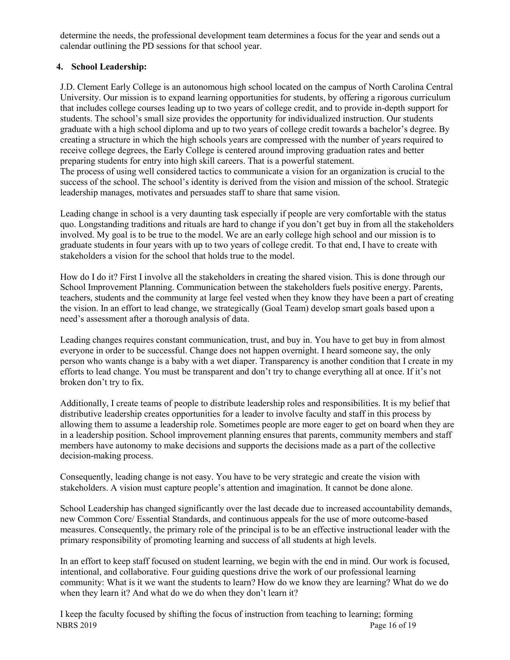determine the needs, the professional development team determines a focus for the year and sends out a calendar outlining the PD sessions for that school year.

# **4. School Leadership:**

J.D. Clement Early College is an autonomous high school located on the campus of North Carolina Central University. Our mission is to expand learning opportunities for students, by offering a rigorous curriculum that includes college courses leading up to two years of college credit, and to provide in-depth support for students. The school's small size provides the opportunity for individualized instruction. Our students graduate with a high school diploma and up to two years of college credit towards a bachelor's degree. By creating a structure in which the high schools years are compressed with the number of years required to receive college degrees, the Early College is centered around improving graduation rates and better preparing students for entry into high skill careers. That is a powerful statement.

The process of using well considered tactics to communicate a vision for an organization is crucial to the success of the school. The school's identity is derived from the vision and mission of the school. Strategic leadership manages, motivates and persuades staff to share that same vision.

Leading change in school is a very daunting task especially if people are very comfortable with the status quo. Longstanding traditions and rituals are hard to change if you don't get buy in from all the stakeholders involved. My goal is to be true to the model. We are an early college high school and our mission is to graduate students in four years with up to two years of college credit. To that end, I have to create with stakeholders a vision for the school that holds true to the model.

How do I do it? First I involve all the stakeholders in creating the shared vision. This is done through our School Improvement Planning. Communication between the stakeholders fuels positive energy. Parents, teachers, students and the community at large feel vested when they know they have been a part of creating the vision. In an effort to lead change, we strategically (Goal Team) develop smart goals based upon a need's assessment after a thorough analysis of data.

Leading changes requires constant communication, trust, and buy in. You have to get buy in from almost everyone in order to be successful. Change does not happen overnight. I heard someone say, the only person who wants change is a baby with a wet diaper. Transparency is another condition that I create in my efforts to lead change. You must be transparent and don't try to change everything all at once. If it's not broken don't try to fix.

Additionally, I create teams of people to distribute leadership roles and responsibilities. It is my belief that distributive leadership creates opportunities for a leader to involve faculty and staff in this process by allowing them to assume a leadership role. Sometimes people are more eager to get on board when they are in a leadership position. School improvement planning ensures that parents, community members and staff members have autonomy to make decisions and supports the decisions made as a part of the collective decision-making process.

Consequently, leading change is not easy. You have to be very strategic and create the vision with stakeholders. A vision must capture people's attention and imagination. It cannot be done alone.

School Leadership has changed significantly over the last decade due to increased accountability demands, new Common Core/ Essential Standards, and continuous appeals for the use of more outcome-based measures. Consequently, the primary role of the principal is to be an effective instructional leader with the primary responsibility of promoting learning and success of all students at high levels.

In an effort to keep staff focused on student learning, we begin with the end in mind. Our work is focused, intentional, and collaborative. Four guiding questions drive the work of our professional learning community: What is it we want the students to learn? How do we know they are learning? What do we do when they learn it? And what do we do when they don't learn it?

NBRS 2019 Page 16 of 19 I keep the faculty focused by shifting the focus of instruction from teaching to learning; forming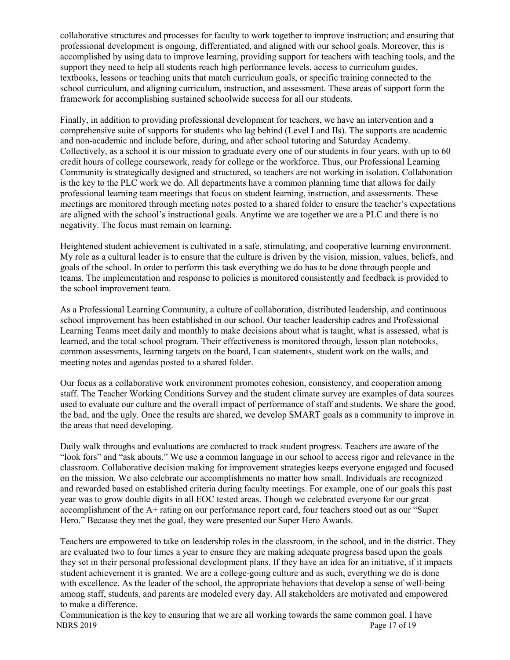collaborative structures and processes for faculty to work together to improve instruction; and ensuring that professional development is ongoing, differentiated, and aligned with our school goals. Moreover, this is accomplished by using data to improve learning, providing support for teachers with teaching tools, and the support they need to help all students reach high performance levels, access to curriculum guides, textbooks, lessons or teaching units that match curriculum goals, or specific training connected to the school curriculum, and aligning curriculum, instruction, and assessment. These areas of support form the framework for accomplishing sustained schoolwide success for all our students.

Finally, in addition to providing professional development for teachers, we have an intervention and a comprehensive suite of supports for students who lag behind (Level I and IIs). The supports are academic and non-academic and include before, during, and after school tutoring and Saturday Academy. Collectively, as a school it is our mission to graduate every one of our students in four years, with up to 60 credit hours of college coursework, ready for college or the workforce. Thus, our Professional Learning Community is strategically designed and structured, so teachers are not working in isolation. Collaboration is the key to the PLC work we do. All departments have a common planning time that allows for daily professional learning team meetings that focus on student learning, instruction, and assessments. These meetings are monitored through meeting notes posted to a shared folder to ensure the teacher's expectations are aligned with the school's instructional goals. Anytime we are together we are a PLC and there is no negativity. The focus must remain on learning.

Heightened student achievement is cultivated in a safe, stimulating, and cooperative learning environment. My role as a cultural leader is to ensure that the culture is driven by the vision, mission, values, beliefs, and goals of the school. In order to perform this task everything we do has to be done through people and teams. The implementation and response to policies is monitored consistently and feedback is provided to the school improvement team.

As a Professional Learning Community, a culture of collaboration, distributed leadership, and continuous school improvement has been established in our school. Our teacher leadership cadres and Professional Learning Teams meet daily and monthly to make decisions about what is taught, what is assessed, what is learned, and the total school program. Their effectiveness is monitored through, lesson plan notebooks, common assessments, learning targets on the board, I can statements, student work on the walls, and meeting notes and agendas posted to a shared folder.

Our focus as a collaborative work environment promotes cohesion, consistency, and cooperation among staff. The Teacher Working Conditions Survey and the student climate survey are examples of data sources used to evaluate our culture and the overall impact of performance of staff and students. We share the good, the bad, and the ugly. Once the results are shared, we develop SMART goals as a community to improve in the areas that need developing.

Daily walk throughs and evaluations are conducted to track student progress. Teachers are aware of the "look fors" and "ask abouts." We use a common language in our school to access rigor and relevance in the classroom. Collaborative decision making for improvement strategies keeps everyone engaged and focused on the mission. We also celebrate our accomplishments no matter how small. Individuals are recognized and rewarded based on established criteria during faculty meetings. For example, one of our goals this past year was to grow double digits in all EOC tested areas. Though we celebrated everyone for our great accomplishment of the A+ rating on our performance report card, four teachers stood out as our "Super Hero." Because they met the goal, they were presented our Super Hero Awards.

Teachers are empowered to take on leadership roles in the classroom, in the school, and in the district. They are evaluated two to four times a year to ensure they are making adequate progress based upon the goals they set in their personal professional development plans. If they have an idea for an initiative, if it impacts student achievement it is granted. We are a college-going culture and as such, everything we do is done with excellence. As the leader of the school, the appropriate behaviors that develop a sense of well-being among staff, students, and parents are modeled every day. All stakeholders are motivated and empowered to make a difference.

NBRS 2019 Page 17 of 19 Communication is the key to ensuring that we are all working towards the same common goal. I have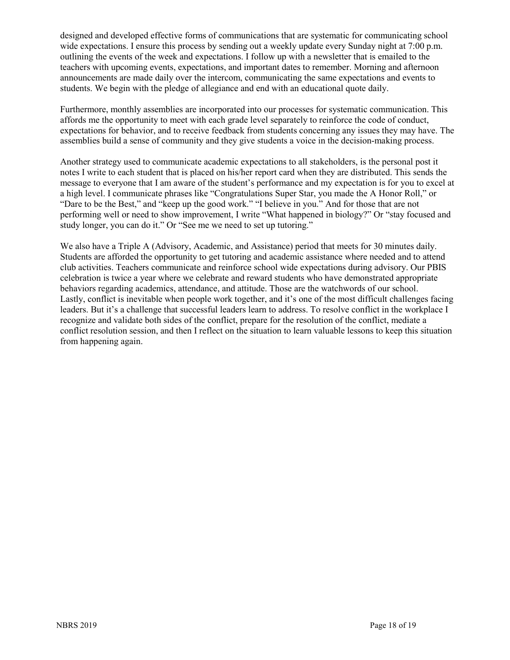designed and developed effective forms of communications that are systematic for communicating school wide expectations. I ensure this process by sending out a weekly update every Sunday night at 7:00 p.m. outlining the events of the week and expectations. I follow up with a newsletter that is emailed to the teachers with upcoming events, expectations, and important dates to remember. Morning and afternoon announcements are made daily over the intercom, communicating the same expectations and events to students. We begin with the pledge of allegiance and end with an educational quote daily.

Furthermore, monthly assemblies are incorporated into our processes for systematic communication. This affords me the opportunity to meet with each grade level separately to reinforce the code of conduct, expectations for behavior, and to receive feedback from students concerning any issues they may have. The assemblies build a sense of community and they give students a voice in the decision-making process.

Another strategy used to communicate academic expectations to all stakeholders, is the personal post it notes I write to each student that is placed on his/her report card when they are distributed. This sends the message to everyone that I am aware of the student's performance and my expectation is for you to excel at a high level. I communicate phrases like "Congratulations Super Star, you made the A Honor Roll," or "Dare to be the Best," and "keep up the good work." "I believe in you." And for those that are not performing well or need to show improvement, I write "What happened in biology?" Or "stay focused and study longer, you can do it." Or "See me we need to set up tutoring."

We also have a Triple A (Advisory, Academic, and Assistance) period that meets for 30 minutes daily. Students are afforded the opportunity to get tutoring and academic assistance where needed and to attend club activities. Teachers communicate and reinforce school wide expectations during advisory. Our PBIS celebration is twice a year where we celebrate and reward students who have demonstrated appropriate behaviors regarding academics, attendance, and attitude. Those are the watchwords of our school. Lastly, conflict is inevitable when people work together, and it's one of the most difficult challenges facing leaders. But it's a challenge that successful leaders learn to address. To resolve conflict in the workplace I recognize and validate both sides of the conflict, prepare for the resolution of the conflict, mediate a conflict resolution session, and then I reflect on the situation to learn valuable lessons to keep this situation from happening again.